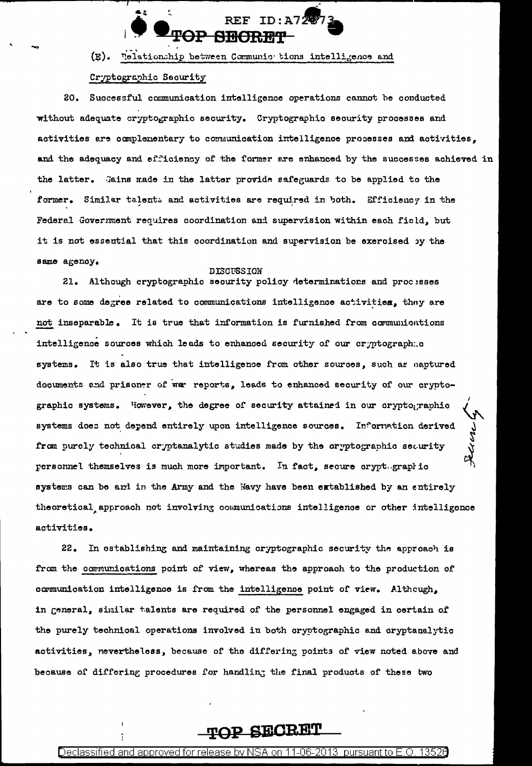$(E)$ . Pelationship between Communic tions intelligence and

**TOP SECRE** 

## Cryptographic Security

æ.

20. Successful communication intelligence operations cannot be conducted without adequate cryptographic security. Cryptographic security processes and activities are complementary to communication intelligence processes and activities. and the adequacy and efficiency of the former are enhanced by the successes achieved in the latter. Gains made in the latter provide safeguards to be applied to the former. Similar talents and activities are required in both. Efficiency in the Federal Government requires coordination and supervision within each field, but it is not essential that this coordination and supervision be exercised by the same agency.

## **DISCUSSION**

21. Although cryptographic security policy determinations and processes are to some degree related to communications intelligence activities, they are not inseparable. It is true that information is furnished from communications intelligence sources which leads to enhanced security of our cryptograph.c systems. It is also true that intelligence from other sources, such as captured documents and prisoner of war reports, leads to enhanced security of our cryptographic systems. However, the degree of security attained in our cryptographic Jecine ! systems does not depend entirely upon intelligence sources. Information derived from purely technical cryptanalytic studies made by the cryptographic security personnel themselves is much more important. In fact, secure oryptographic systems can be and in the Army and the Navy have been extablished by an entirely theoretical approach not involving communications intelligence or other intelligence activities.

22. In establishing and maintaining cryptographic security the approach is from the communications point of view, whereas the approach to the production of communication intelligence is from the intelligence point of view. Although, in general, similar talents are required of the personnel engaged in certain of the purely technical operations involved in both oryptographic and oryptanalytic activities, nevertheless, because of the differing points of view noted above and because of differing procedures for handling the final products of these two

## **TOP SECRET**

Declassified and approved for release by NSA on 11-06-2013 pursuant to E.O. 13526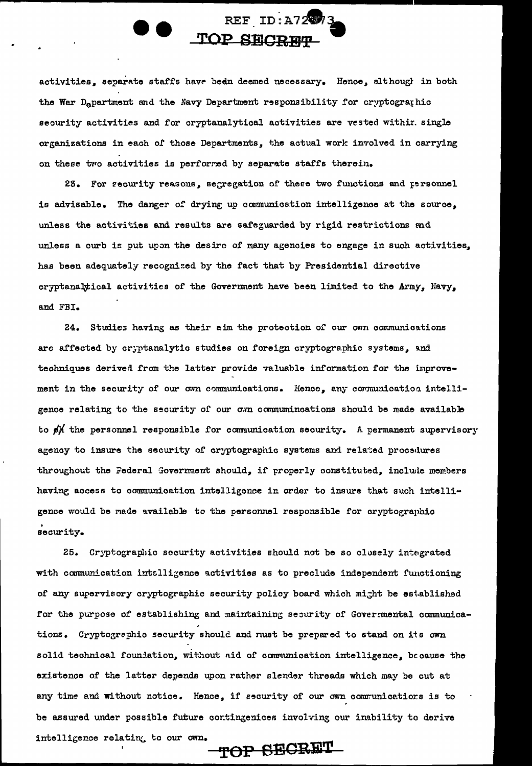activities, separate staffs have bedn deemed necessary. Hence, although in both the War D<sub>e</sub>partment and the Navy Department responsibility for cryptograthic security activities and for cryptanalytical activities are vested withir. single organizations in each of those Departments, the actual work involved in carrying on these two activities is performed by separate staffs therein.

**TOP SECRET** 

REF ID:A72873

23. For security reasons, segregation of these two functions and personnel is advisable. The danger of drying up communication intelligence at the source, unless the activities and results are safeguarded by rigid restrictions and unless a curb is put upon the desire of many agencies to engage in such activities. has been adequately recognized by the fact that by Presidential directive cryptanaltical activities of the Government have been limited to the Army, Navy, and FBI.

24. Studies having as their aim the protection of our own communications arc affected by cryptanalytic studies on foreign cryptographic systems, and techniques derived from the latter provide valuable information for the improvement in the security of our own communications. Hence, any communication intelligence relating to the security of our own communinoations should be made available to  $\oint$ *i* the personnel responsible for communication security. A permanent supervisory agency to insure the security of cryptographic systems and related procedures throughout the Federal Government should, if properly constituted, include members having access to communication intelligence in order to insure that such intelligence would be made available to the personnel responsible for cryptographic security.

25. Cryptographic socurity activities should not be so closely integrated with communication intelligence activities as to preclude independent functioning of any supervisory cryptographic security policy board which might be established for the purpose of establishing and maintaining security of Governmental communications. Cryptographic security should and nust be prepared to stand on its own solid technical foundation, without aid of communication intelligence, because the existence of the latter depends upon rather slender threads which may be cut at any time and without notice. Hence, if security of our own communications is to be assured under possible future contingenices involving our inability to derive intelligence relating to our own. TOP SECRET